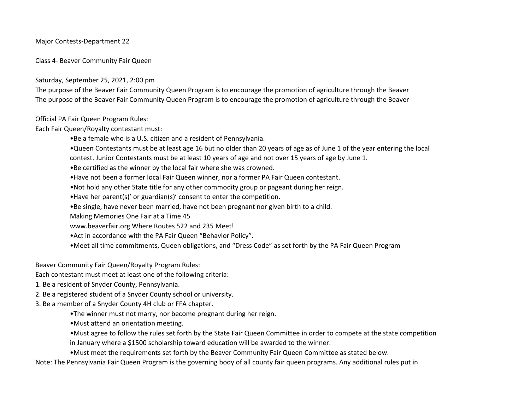### Major Contests-Department 22

Class 4- Beaver Community Fair Queen

Saturday, September 25, 2021, 2:00 pm

The purpose of the Beaver Fair Community Queen Program is to encourage the promotion of agriculture through the Beaver The purpose of the Beaver Fair Community Queen Program is to encourage the promotion of agriculture through the Beaver

Official PA Fair Queen Program Rules:

Each Fair Queen/Royalty contestant must:

•Be a female who is a U.S. citizen and a resident of Pennsylvania.

•Queen Contestants must be at least age 16 but no older than 20 years of age as of June 1 of the year entering the local

contest. Junior Contestants must be at least 10 years of age and not over 15 years of age by June 1.

•Be certified as the winner by the local fair where she was crowned.

•Have not been a former local Fair Queen winner, nor a former PA Fair Queen contestant.

•Not hold any other State title for any other commodity group or pageant during her reign.

•Have her parent(s)' or guardian(s)' consent to enter the competition.

•Be single, have never been married, have not been pregnant nor given birth to a child.

Making Memories One Fair at a Time 45

www.beaverfair.org Where Routes 522 and 235 Meet!

•Act in accordance with the PA Fair Queen "Behavior Policy".

•Meet all time commitments, Queen obligations, and "Dress Code" as set forth by the PA Fair Queen Program

Beaver Community Fair Queen/Royalty Program Rules:

Each contestant must meet at least one of the following criteria:

- 1. Be a resident of Snyder County, Pennsylvania.
- 2. Be a registered student of a Snyder County school or university.
- 3. Be a member of a Snyder County 4H club or FFA chapter.
	- •The winner must not marry, nor become pregnant during her reign.

•Must attend an orientation meeting.

•Must agree to follow the rules set forth by the State Fair Queen Committee in order to compete at the state competition in January where a \$1500 scholarship toward education will be awarded to the winner.

•Must meet the requirements set forth by the Beaver Community Fair Queen Committee as stated below.

Note: The Pennsylvania Fair Queen Program is the governing body of all county fair queen programs. Any additional rules put in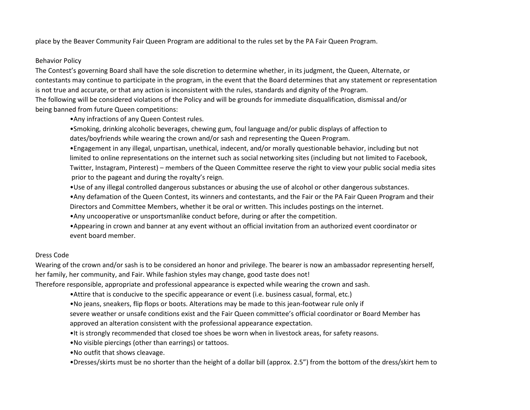place by the Beaver Community Fair Queen Program are additional to the rules set by the PA Fair Queen Program.

### Behavior Policy

The Contest's governing Board shall have the sole discretion to determine whether, in its judgment, the Queen, Alternate, or contestants may continue to participate in the program, in the event that the Board determines that any statement or representation is not true and accurate, or that any action is inconsistent with the rules, standards and dignity of the Program. The following will be considered violations of the Policy and will be grounds for immediate disqualification, dismissal and/or being banned from future Queen competitions:

•Any infractions of any Queen Contest rules.

•Smoking, drinking alcoholic beverages, chewing gum, foul language and/or public displays of affection to dates/boyfriends while wearing the crown and/or sash and representing the Queen Program.

•Engagement in any illegal, unpartisan, unethical, indecent, and/or morally questionable behavior, including but not limited to online representations on the internet such as social networking sites (including but not limited to Facebook, Twitter, Instagram, Pinterest) – members of the Queen Committee reserve the right to view your public social media sites prior to the pageant and during the royalty's reign.

•Use of any illegal controlled dangerous substances or abusing the use of alcohol or other dangerous substances.

•Any defamation of the Queen Contest, its winners and contestants, and the Fair or the PA Fair Queen Program and their Directors and Committee Members, whether it be oral or written. This includes postings on the internet.

•Any uncooperative or unsportsmanlike conduct before, during or after the competition.

•Appearing in crown and banner at any event without an official invitation from an authorized event coordinator or event board member.

# Dress Code

Wearing of the crown and/or sash is to be considered an honor and privilege. The bearer is now an ambassador representing herself, her family, her community, and Fair. While fashion styles may change, good taste does not!

Therefore responsible, appropriate and professional appearance is expected while wearing the crown and sash.

•Attire that is conducive to the specific appearance or event (i.e. business casual, formal, etc.)

•No jeans, sneakers, flip flops or boots. Alterations may be made to this jean-footwear rule only if

severe weather or unsafe conditions exist and the Fair Queen committee's official coordinator or Board Member has

approved an alteration consistent with the professional appearance expectation.

•It is strongly recommended that closed toe shoes be worn when in livestock areas, for safety reasons.

•No visible piercings (other than earrings) or tattoos.

•No outfit that shows cleavage.

•Dresses/skirts must be no shorter than the height of a dollar bill (approx. 2.5") from the bottom of the dress/skirt hem to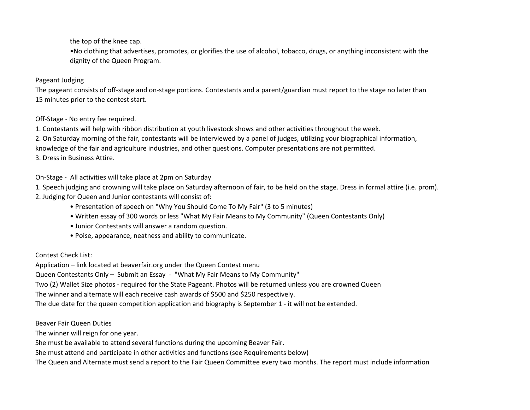the top of the knee cap.

•No clothing that advertises, promotes, or glorifies the use of alcohol, tobacco, drugs, or anything inconsistent with the dignity of the Queen Program.

## Pageant Judging

The pageant consists of off-stage and on-stage portions. Contestants and a parent/guardian must report to the stage no later than 15 minutes prior to the contest start.

# Off-Stage - No entry fee required.

1. Contestants will help with ribbon distribution at youth livestock shows and other activities throughout the week.

2. On Saturday morning of the fair, contestants will be interviewed by a panel of judges, utilizing your biographical information,

knowledge of the fair and agriculture industries, and other questions. Computer presentations are not permitted.

3. Dress in Business Attire.

# On-Stage - All activities will take place at 2pm on Saturday

1. Speech judging and crowning will take place on Saturday afternoon of fair, to be held on the stage. Dress in formal attire (i.e. prom).

- 2. Judging for Queen and Junior contestants will consist of:
	- Presentation of speech on "Why You Should Come To My Fair" (3 to 5 minutes)
	- Written essay of 300 words or less "What My Fair Means to My Community" (Queen Contestants Only)
	- Junior Contestants will answer a random question.
	- Poise, appearance, neatness and ability to communicate.

# Contest Check List:

Application – link located at beaverfair.org under the Queen Contest menu

Queen Contestants Only – Submit an Essay - "What My Fair Means to My Community"

Two (2) Wallet Size photos - required for the State Pageant. Photos will be returned unless you are crowned Queen

The winner and alternate will each receive cash awards of \$500 and \$250 respectively.

The due date for the queen competition application and biography is September 1 - it will not be extended.

Beaver Fair Queen Duties

The winner will reign for one year.

She must be available to attend several functions during the upcoming Beaver Fair.

She must attend and participate in other activities and functions (see Requirements below)

The Queen and Alternate must send a report to the Fair Queen Committee every two months. The report must include information